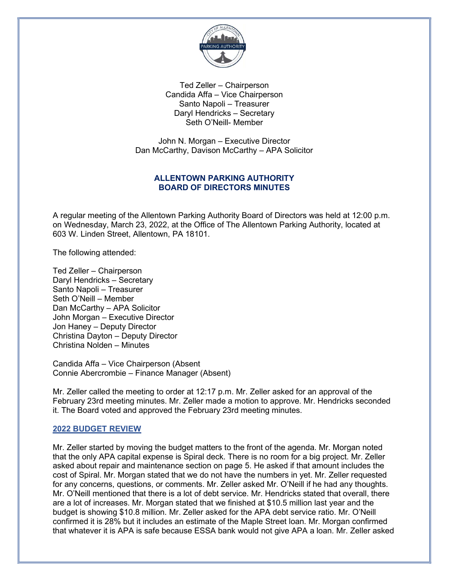

Ted Zeller – Chairperson Candida Affa – Vice Chairperson Santo Napoli – Treasurer Daryl Hendricks – Secretary Seth O'Neill- Member

John N. Morgan – Executive Director Dan McCarthy, Davison McCarthy – APA Solicitor

# ALLENTOWN PARKING AUTHORITY BOARD OF DIRECTORS MINUTES

A regular meeting of the Allentown Parking Authority Board of Directors was held at 12:00 p.m. on Wednesday, March 23, 2022, at the Office of The Allentown Parking Authority, located at 603 W. Linden Street, Allentown, PA 18101.

The following attended:

Ted Zeller – Chairperson Daryl Hendricks – Secretary Santo Napoli – Treasurer Seth O'Neill – Member Dan McCarthy – APA Solicitor John Morgan – Executive Director Jon Haney – Deputy Director Christina Dayton – Deputy Director Christina Nolden – Minutes

Candida Affa – Vice Chairperson (Absent Connie Abercrombie – Finance Manager (Absent)

Mr. Zeller called the meeting to order at 12:17 p.m. Mr. Zeller asked for an approval of the February 23rd meeting minutes. Mr. Zeller made a motion to approve. Mr. Hendricks seconded it. The Board voted and approved the February 23rd meeting minutes.

### 2022 BUDGET REVIEW

Mr. Zeller started by moving the budget matters to the front of the agenda. Mr. Morgan noted that the only APA capital expense is Spiral deck. There is no room for a big project. Mr. Zeller asked about repair and maintenance section on page 5. He asked if that amount includes the cost of Spiral. Mr. Morgan stated that we do not have the numbers in yet. Mr. Zeller requested for any concerns, questions, or comments. Mr. Zeller asked Mr. O'Neill if he had any thoughts. Mr. O'Neill mentioned that there is a lot of debt service. Mr. Hendricks stated that overall, there are a lot of increases. Mr. Morgan stated that we finished at \$10.5 million last year and the budget is showing \$10.8 million. Mr. Zeller asked for the APA debt service ratio. Mr. O'Neill confirmed it is 28% but it includes an estimate of the Maple Street loan. Mr. Morgan confirmed that whatever it is APA is safe because ESSA bank would not give APA a loan. Mr. Zeller asked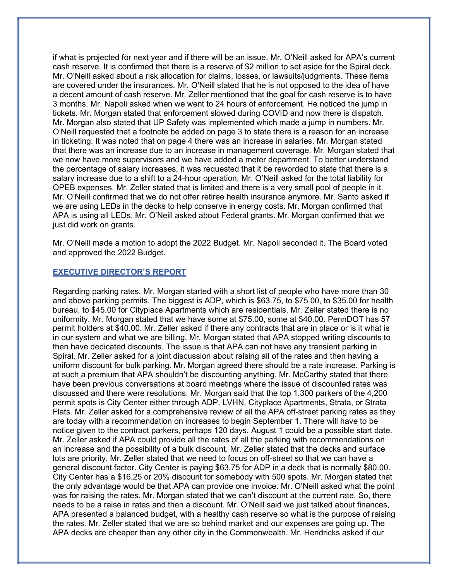if what is projected for next year and if there will be an issue. Mr. O'Neill asked for APA's current cash reserve. It is confirmed that there is a reserve of \$2 million to set aside for the Spiral deck. Mr. O'Neill asked about a risk allocation for claims, losses, or lawsuits/judgments. These items are covered under the insurances. Mr. O'Neill stated that he is not opposed to the idea of have a decent amount of cash reserve. Mr. Zeller mentioned that the goal for cash reserve is to have 3 months. Mr. Napoli asked when we went to 24 hours of enforcement. He noticed the jump in tickets. Mr. Morgan stated that enforcement slowed during COVID and now there is dispatch. Mr. Morgan also stated that UP Safety was implemented which made a jump in numbers. Mr. O'Neill requested that a footnote be added on page 3 to state there is a reason for an increase in ticketing. It was noted that on page 4 there was an increase in salaries. Mr. Morgan stated that there was an increase due to an increase in management coverage. Mr. Morgan stated that we now have more supervisors and we have added a meter department. To better understand the percentage of salary increases, it was requested that it be reworded to state that there is a salary increase due to a shift to a 24-hour operation. Mr. O'Neill asked for the total liability for OPEB expenses. Mr. Zeller stated that is limited and there is a very small pool of people in it. Mr. O'Neill confirmed that we do not offer retiree health insurance anymore. Mr. Santo asked if we are using LEDs in the decks to help conserve in energy costs. Mr. Morgan confirmed that APA is using all LEDs. Mr. O'Neill asked about Federal grants. Mr. Morgan confirmed that we just did work on grants.

Mr. O'Neill made a motion to adopt the 2022 Budget. Mr. Napoli seconded it. The Board voted and approved the 2022 Budget.

#### EXECUTIVE DIRECTOR'S REPORT

Regarding parking rates, Mr. Morgan started with a short list of people who have more than 30 and above parking permits. The biggest is ADP, which is \$63.75, to \$75.00, to \$35.00 for health bureau, to \$45.00 for Cityplace Apartments which are residentials. Mr. Zeller stated there is no uniformity. Mr. Morgan stated that we have some at \$75.00, some at \$40.00. PennDOT has 57 permit holders at \$40.00. Mr. Zeller asked if there any contracts that are in place or is it what is in our system and what we are billing. Mr. Morgan stated that APA stopped writing discounts to then have dedicated discounts. The issue is that APA can not have any transient parking in Spiral. Mr. Zeller asked for a joint discussion about raising all of the rates and then having a uniform discount for bulk parking. Mr. Morgan agreed there should be a rate increase. Parking is at such a premium that APA shouldn't be discounting anything. Mr. McCarthy stated that there have been previous conversations at board meetings where the issue of discounted rates was discussed and there were resolutions. Mr. Morgan said that the top 1,300 parkers of the 4,200 permit spots is City Center either through ADP, LVHN, Cityplace Apartments, Strata, or Strata Flats. Mr. Zeller asked for a comprehensive review of all the APA off-street parking rates as they are today with a recommendation on increases to begin September 1. There will have to be notice given to the contract parkers, perhaps 120 days. August 1 could be a possible start date. Mr. Zeller asked if APA could provide all the rates of all the parking with recommendations on an increase and the possibility of a bulk discount. Mr. Zeller stated that the decks and surface lots are priority. Mr. Zeller stated that we need to focus on off-street so that we can have a general discount factor. City Center is paying \$63.75 for ADP in a deck that is normally \$80.00. City Center has a \$16.25 or 20% discount for somebody with 500 spots. Mr. Morgan stated that the only advantage would be that APA can provide one invoice. Mr. O'Neill asked what the point was for raising the rates. Mr. Morgan stated that we can't discount at the current rate. So, there needs to be a raise in rates and then a discount. Mr. O'Neill said we just talked about finances, APA presented a balanced budget, with a healthy cash reserve so what is the purpose of raising the rates. Mr. Zeller stated that we are so behind market and our expenses are going up. The APA decks are cheaper than any other city in the Commonwealth. Mr. Hendricks asked if our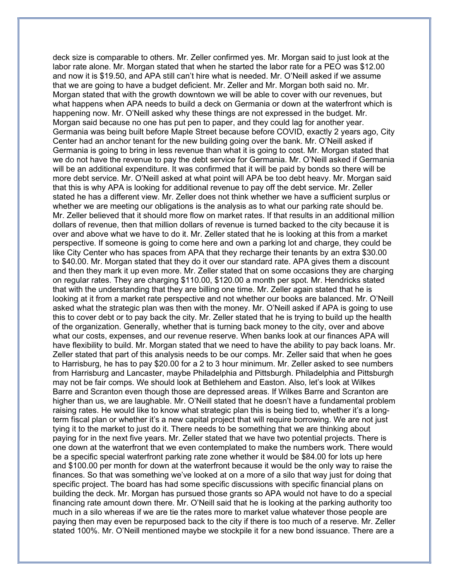deck size is comparable to others. Mr. Zeller confirmed yes. Mr. Morgan said to just look at the labor rate alone. Mr. Morgan stated that when he started the labor rate for a PEO was \$12.00 and now it is \$19.50, and APA still can't hire what is needed. Mr. O'Neill asked if we assume that we are going to have a budget deficient. Mr. Zeller and Mr. Morgan both said no. Mr. Morgan stated that with the growth downtown we will be able to cover with our revenues, but what happens when APA needs to build a deck on Germania or down at the waterfront which is happening now. Mr. O'Neill asked why these things are not expressed in the budget. Mr. Morgan said because no one has put pen to paper, and they could lag for another year. Germania was being built before Maple Street because before COVID, exactly 2 years ago, City Center had an anchor tenant for the new building going over the bank. Mr. O'Neill asked if Germania is going to bring in less revenue than what it is going to cost. Mr. Morgan stated that we do not have the revenue to pay the debt service for Germania. Mr. O'Neill asked if Germania will be an additional expenditure. It was confirmed that it will be paid by bonds so there will be more debt service. Mr. O'Neill asked at what point will APA be too debt heavy. Mr. Morgan said that this is why APA is looking for additional revenue to pay off the debt service. Mr. Zeller stated he has a different view. Mr. Zeller does not think whether we have a sufficient surplus or whether we are meeting our obligations is the analysis as to what our parking rate should be. Mr. Zeller believed that it should more flow on market rates. If that results in an additional million dollars of revenue, then that million dollars of revenue is turned backed to the city because it is over and above what we have to do it. Mr. Zeller stated that he is looking at this from a market perspective. If someone is going to come here and own a parking lot and charge, they could be like City Center who has spaces from APA that they recharge their tenants by an extra \$30.00 to \$40.00. Mr. Morgan stated that they do it over our standard rate. APA gives them a discount and then they mark it up even more. Mr. Zeller stated that on some occasions they are charging on regular rates. They are charging \$110.00, \$120.00 a month per spot. Mr. Hendricks stated that with the understanding that they are billing one time. Mr. Zeller again stated that he is looking at it from a market rate perspective and not whether our books are balanced. Mr. O'Neill asked what the strategic plan was then with the money. Mr. O'Neill asked if APA is going to use this to cover debt or to pay back the city. Mr. Zeller stated that he is trying to build up the health of the organization. Generally, whether that is turning back money to the city, over and above what our costs, expenses, and our revenue reserve. When banks look at our finances APA will have flexibility to build. Mr. Morgan stated that we need to have the ability to pay back loans. Mr. Zeller stated that part of this analysis needs to be our comps. Mr. Zeller said that when he goes to Harrisburg, he has to pay \$20.00 for a 2 to 3 hour minimum. Mr. Zeller asked to see numbers from Harrisburg and Lancaster, maybe Philadelphia and Pittsburgh. Philadelphia and Pittsburgh may not be fair comps. We should look at Bethlehem and Easton. Also, let's look at Wilkes Barre and Scranton even though those are depressed areas. If Wilkes Barre and Scranton are higher than us, we are laughable. Mr. O'Neill stated that he doesn't have a fundamental problem raising rates. He would like to know what strategic plan this is being tied to, whether it's a longterm fiscal plan or whether it's a new capital project that will require borrowing. We are not just tying it to the market to just do it. There needs to be something that we are thinking about paying for in the next five years. Mr. Zeller stated that we have two potential projects. There is one down at the waterfront that we even contemplated to make the numbers work. There would be a specific special waterfront parking rate zone whether it would be \$84.00 for lots up here and \$100.00 per month for down at the waterfront because it would be the only way to raise the finances. So that was something we've looked at on a more of a silo that way just for doing that specific project. The board has had some specific discussions with specific financial plans on building the deck. Mr. Morgan has pursued those grants so APA would not have to do a special financing rate amount down there. Mr. O'Neill said that he is looking at the parking authority too much in a silo whereas if we are tie the rates more to market value whatever those people are paying then may even be repurposed back to the city if there is too much of a reserve. Mr. Zeller stated 100%. Mr. O'Neill mentioned maybe we stockpile it for a new bond issuance. There are a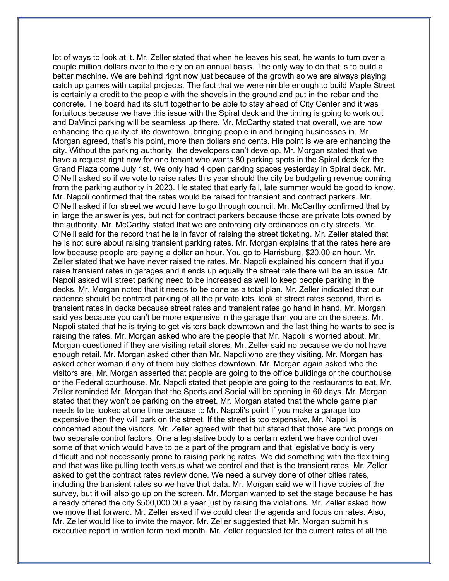lot of ways to look at it. Mr. Zeller stated that when he leaves his seat, he wants to turn over a couple million dollars over to the city on an annual basis. The only way to do that is to build a better machine. We are behind right now just because of the growth so we are always playing catch up games with capital projects. The fact that we were nimble enough to build Maple Street is certainly a credit to the people with the shovels in the ground and put in the rebar and the concrete. The board had its stuff together to be able to stay ahead of City Center and it was fortuitous because we have this issue with the Spiral deck and the timing is going to work out and DaVinci parking will be seamless up there. Mr. McCarthy stated that overall, we are now enhancing the quality of life downtown, bringing people in and bringing businesses in. Mr. Morgan agreed, that's his point, more than dollars and cents. His point is we are enhancing the city. Without the parking authority, the developers can't develop. Mr. Morgan stated that we have a request right now for one tenant who wants 80 parking spots in the Spiral deck for the Grand Plaza come July 1st. We only had 4 open parking spaces yesterday in Spiral deck. Mr. O'Neill asked so if we vote to raise rates this year should the city be budgeting revenue coming from the parking authority in 2023. He stated that early fall, late summer would be good to know. Mr. Napoli confirmed that the rates would be raised for transient and contract parkers. Mr. O'Neill asked if for street we would have to go through council. Mr. McCarthy confirmed that by in large the answer is yes, but not for contract parkers because those are private lots owned by the authority. Mr. McCarthy stated that we are enforcing city ordinances on city streets. Mr. O'Neill said for the record that he is in favor of raising the street ticketing. Mr. Zeller stated that he is not sure about raising transient parking rates. Mr. Morgan explains that the rates here are low because people are paying a dollar an hour. You go to Harrisburg, \$20.00 an hour. Mr. Zeller stated that we have never raised the rates. Mr. Napoli explained his concern that if you raise transient rates in garages and it ends up equally the street rate there will be an issue. Mr. Napoli asked will street parking need to be increased as well to keep people parking in the decks. Mr. Morgan noted that it needs to be done as a total plan. Mr. Zeller indicated that our cadence should be contract parking of all the private lots, look at street rates second, third is transient rates in decks because street rates and transient rates go hand in hand. Mr. Morgan said yes because you can't be more expensive in the garage than you are on the streets. Mr. Napoli stated that he is trying to get visitors back downtown and the last thing he wants to see is raising the rates. Mr. Morgan asked who are the people that Mr. Napoli is worried about. Mr. Morgan questioned if they are visiting retail stores. Mr. Zeller said no because we do not have enough retail. Mr. Morgan asked other than Mr. Napoli who are they visiting. Mr. Morgan has asked other woman if any of them buy clothes downtown. Mr. Morgan again asked who the visitors are. Mr. Morgan asserted that people are going to the office buildings or the courthouse or the Federal courthouse. Mr. Napoli stated that people are going to the restaurants to eat. Mr. Zeller reminded Mr. Morgan that the Sports and Social will be opening in 60 days. Mr. Morgan stated that they won't be parking on the street. Mr. Morgan stated that the whole game plan needs to be looked at one time because to Mr. Napoli's point if you make a garage too expensive then they will park on the street. If the street is too expensive, Mr. Napoli is concerned about the visitors. Mr. Zeller agreed with that but stated that those are two prongs on two separate control factors. One a legislative body to a certain extent we have control over some of that which would have to be a part of the program and that legislative body is very difficult and not necessarily prone to raising parking rates. We did something with the flex thing and that was like pulling teeth versus what we control and that is the transient rates. Mr. Zeller asked to get the contract rates review done. We need a survey done of other cities rates, including the transient rates so we have that data. Mr. Morgan said we will have copies of the survey, but it will also go up on the screen. Mr. Morgan wanted to set the stage because he has already offered the city \$500,000.00 a year just by raising the violations. Mr. Zeller asked how we move that forward. Mr. Zeller asked if we could clear the agenda and focus on rates. Also, Mr. Zeller would like to invite the mayor. Mr. Zeller suggested that Mr. Morgan submit his executive report in written form next month. Mr. Zeller requested for the current rates of all the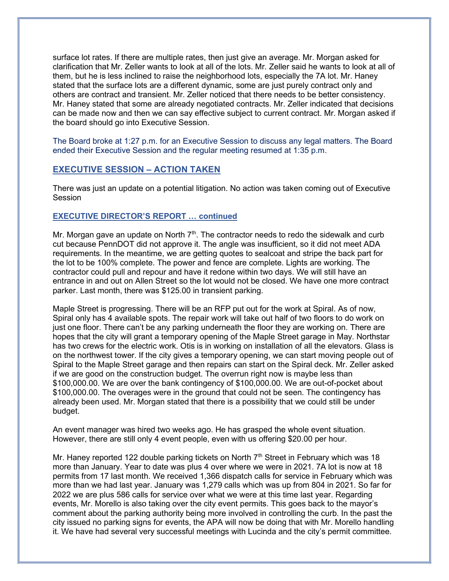surface lot rates. If there are multiple rates, then just give an average. Mr. Morgan asked for clarification that Mr. Zeller wants to look at all of the lots. Mr. Zeller said he wants to look at all of them, but he is less inclined to raise the neighborhood lots, especially the 7A lot. Mr. Haney stated that the surface lots are a different dynamic, some are just purely contract only and others are contract and transient. Mr. Zeller noticed that there needs to be better consistency. Mr. Haney stated that some are already negotiated contracts. Mr. Zeller indicated that decisions can be made now and then we can say effective subject to current contract. Mr. Morgan asked if the board should go into Executive Session.

The Board broke at 1:27 p.m. for an Executive Session to discuss any legal matters. The Board ended their Executive Session and the regular meeting resumed at 1:35 p.m.

# EXECUTIVE SESSION – ACTION TAKEN

There was just an update on a potential litigation. No action was taken coming out of Executive Session

#### EXECUTIVE DIRECTOR'S REPORT … continued

Mr. Morgan gave an update on North  $7<sup>th</sup>$ . The contractor needs to redo the sidewalk and curb cut because PennDOT did not approve it. The angle was insufficient, so it did not meet ADA requirements. In the meantime, we are getting quotes to sealcoat and stripe the back part for the lot to be 100% complete. The power and fence are complete. Lights are working. The contractor could pull and repour and have it redone within two days. We will still have an entrance in and out on Allen Street so the lot would not be closed. We have one more contract parker. Last month, there was \$125.00 in transient parking.

Maple Street is progressing. There will be an RFP put out for the work at Spiral. As of now, Spiral only has 4 available spots. The repair work will take out half of two floors to do work on just one floor. There can't be any parking underneath the floor they are working on. There are hopes that the city will grant a temporary opening of the Maple Street garage in May. Northstar has two crews for the electric work. Otis is in working on installation of all the elevators. Glass is on the northwest tower. If the city gives a temporary opening, we can start moving people out of Spiral to the Maple Street garage and then repairs can start on the Spiral deck. Mr. Zeller asked if we are good on the construction budget. The overrun right now is maybe less than \$100,000.00. We are over the bank contingency of \$100,000.00. We are out-of-pocket about \$100,000.00. The overages were in the ground that could not be seen. The contingency has already been used. Mr. Morgan stated that there is a possibility that we could still be under budget.

An event manager was hired two weeks ago. He has grasped the whole event situation. However, there are still only 4 event people, even with us offering \$20.00 per hour.

Mr. Haney reported 122 double parking tickets on North  $7<sup>th</sup>$  Street in February which was 18 more than January. Year to date was plus 4 over where we were in 2021. 7A lot is now at 18 permits from 17 last month. We received 1,366 dispatch calls for service in February which was more than we had last year. January was 1,279 calls which was up from 804 in 2021. So far for 2022 we are plus 586 calls for service over what we were at this time last year. Regarding events, Mr. Morello is also taking over the city event permits. This goes back to the mayor's comment about the parking authority being more involved in controlling the curb. In the past the city issued no parking signs for events, the APA will now be doing that with Mr. Morello handling it. We have had several very successful meetings with Lucinda and the city's permit committee.